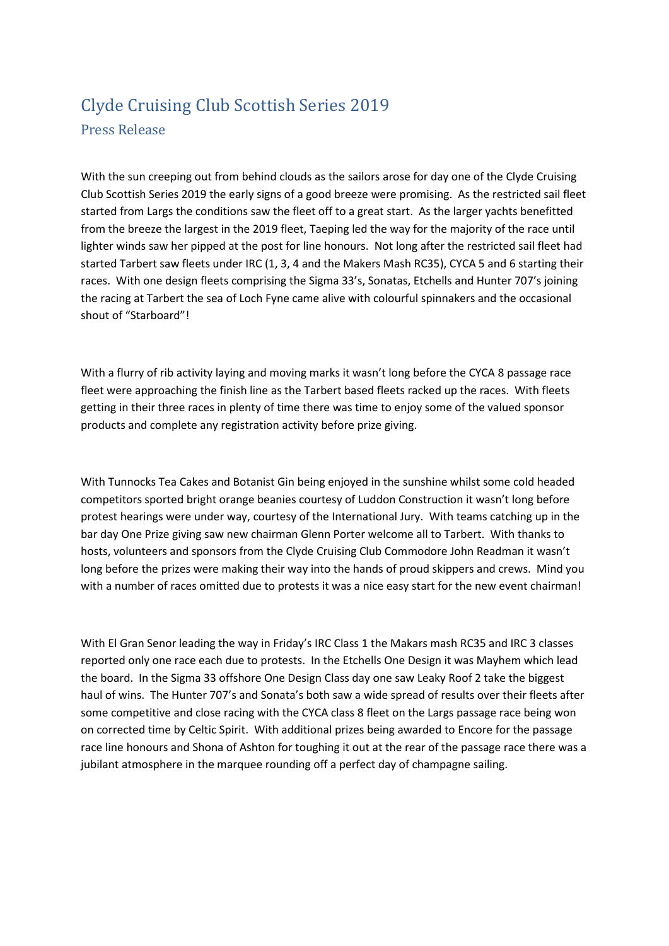# Clyde Cruising Club Scottish Series 2019

## Press Release

With the sun creeping out from behind clouds as the sailors arose for day one of the Clyde Cruising Club Scottish Series 2019 the early signs of a good breeze were promising. As the restricted sail fleet started from Largs the conditions saw the fleet off to a great start. As the larger yachts benefitted from the breeze the largest in the 2019 fleet, Taeping led the way for the majority of the race until lighter winds saw her pipped at the post for line honours. Not long after the restricted sail fleet had started Tarbert saw fleets under IRC (1, 3, 4 and the Makers Mash RC35), CYCA 5 and 6 starting their races. With one design fleets comprising the Sigma 33's, Sonatas, Etchells and Hunter 707's joining the racing at Tarbert the sea of Loch Fyne came alive with colourful spinnakers and the occasional shout of "Starboard"!

With a flurry of rib activity laying and moving marks it wasn't long before the CYCA 8 passage race fleet were approaching the finish line as the Tarbert based fleets racked up the races. With fleets getting in their three races in plenty of time there was time to enjoy some of the valued sponsor products and complete any registration activity before prize giving.

With Tunnocks Tea Cakes and Botanist Gin being enjoyed in the sunshine whilst some cold headed competitors sported bright orange beanies courtesy of Luddon Construction it wasn't long before protest hearings were under way, courtesy of the International Jury. With teams catching up in the bar day One Prize giving saw new chairman Glenn Porter welcome all to Tarbert. With thanks to hosts, volunteers and sponsors from the Clyde Cruising Club Commodore John Readman it wasn't long before the prizes were making their way into the hands of proud skippers and crews. Mind you with a number of races omitted due to protests it was a nice easy start for the new event chairman!

With El Gran Senor leading the way in Friday's IRC Class 1 the Makars mash RC35 and IRC 3 classes reported only one race each due to protests. In the Etchells One Design it was Mayhem which lead the board. In the Sigma 33 offshore One Design Class day one saw Leaky Roof 2 take the biggest haul of wins. The Hunter 707's and Sonata's both saw a wide spread of results over their fleets after some competitive and close racing with the CYCA class 8 fleet on the Largs passage race being won on corrected time by Celtic Spirit. With additional prizes being awarded to Encore for the passage race line honours and Shona of Ashton for toughing it out at the rear of the passage race there was a jubilant atmosphere in the marquee rounding off a perfect day of champagne sailing.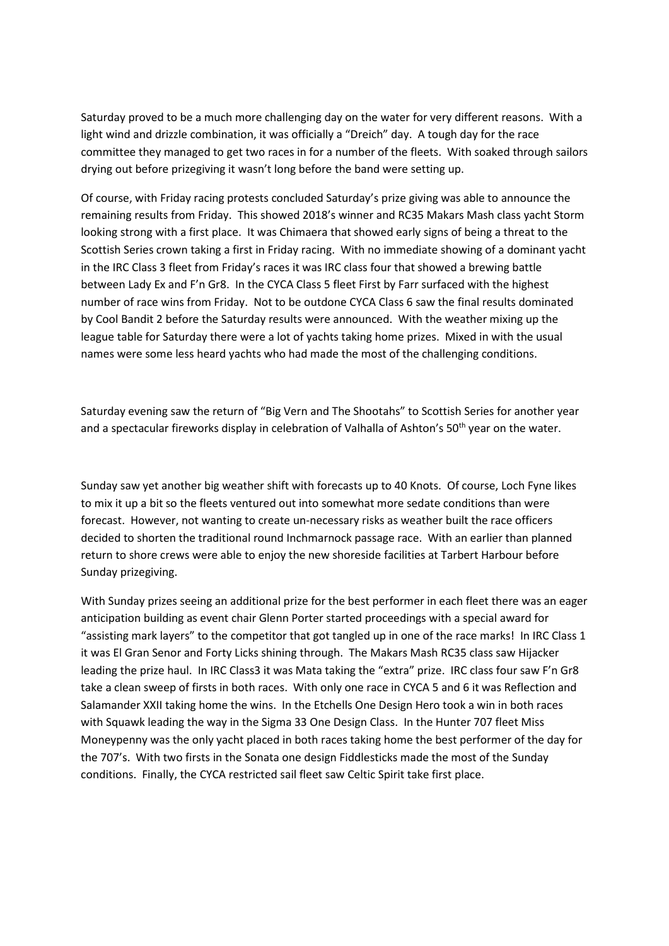Saturday proved to be a much more challenging day on the water for very different reasons. With a light wind and drizzle combination, it was officially a "Dreich" day. A tough day for the race committee they managed to get two races in for a number of the fleets. With soaked through sailors drying out before prizegiving it wasn't long before the band were setting up.

Of course, with Friday racing protests concluded Saturday's prize giving was able to announce the remaining results from Friday. This showed 2018's winner and RC35 Makars Mash class yacht Storm looking strong with a first place. It was Chimaera that showed early signs of being a threat to the Scottish Series crown taking a first in Friday racing. With no immediate showing of a dominant yacht in the IRC Class 3 fleet from Friday's races it was IRC class four that showed a brewing battle between Lady Ex and F'n Gr8. In the CYCA Class 5 fleet First by Farr surfaced with the highest number of race wins from Friday. Not to be outdone CYCA Class 6 saw the final results dominated by Cool Bandit 2 before the Saturday results were announced. With the weather mixing up the league table for Saturday there were a lot of yachts taking home prizes. Mixed in with the usual names were some less heard yachts who had made the most of the challenging conditions.

Saturday evening saw the return of "Big Vern and The Shootahs" to Scottish Series for another year and a spectacular fireworks display in celebration of Valhalla of Ashton's 50<sup>th</sup> year on the water.

Sunday saw yet another big weather shift with forecasts up to 40 Knots. Of course, Loch Fyne likes to mix it up a bit so the fleets ventured out into somewhat more sedate conditions than were forecast. However, not wanting to create un-necessary risks as weather built the race officers decided to shorten the traditional round Inchmarnock passage race. With an earlier than planned return to shore crews were able to enjoy the new shoreside facilities at Tarbert Harbour before Sunday prizegiving.

With Sunday prizes seeing an additional prize for the best performer in each fleet there was an eager anticipation building as event chair Glenn Porter started proceedings with a special award for "assisting mark layers" to the competitor that got tangled up in one of the race marks! In IRC Class 1 it was El Gran Senor and Forty Licks shining through. The Makars Mash RC35 class saw Hijacker leading the prize haul. In IRC Class3 it was Mata taking the "extra" prize. IRC class four saw F'n Gr8 take a clean sweep of firsts in both races. With only one race in CYCA 5 and 6 it was Reflection and Salamander XXII taking home the wins. In the Etchells One Design Hero took a win in both races with Squawk leading the way in the Sigma 33 One Design Class. In the Hunter 707 fleet Miss Moneypenny was the only yacht placed in both races taking home the best performer of the day for the 707's. With two firsts in the Sonata one design Fiddlesticks made the most of the Sunday conditions. Finally, the CYCA restricted sail fleet saw Celtic Spirit take first place.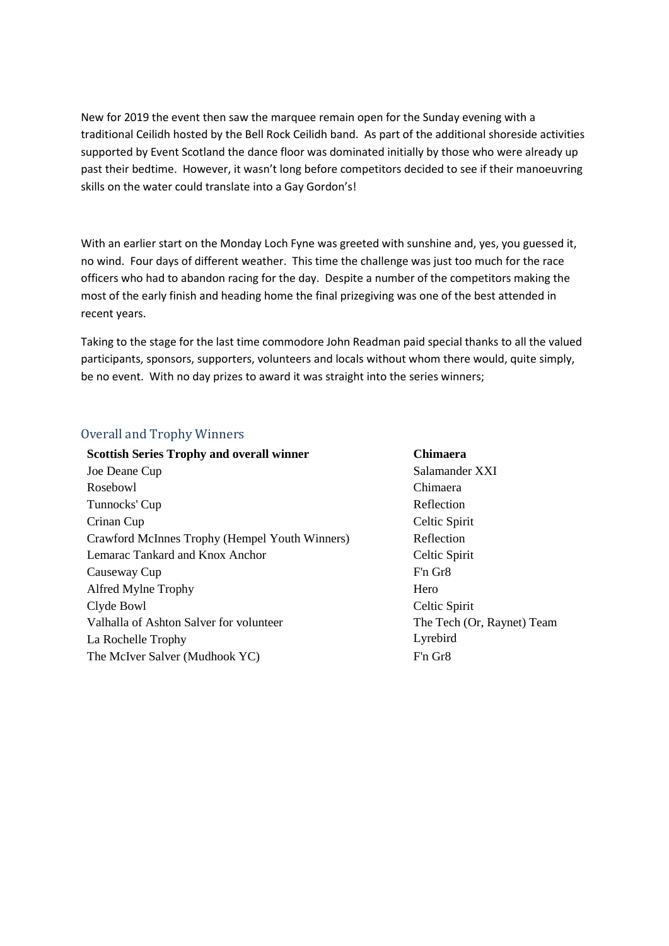New for 2019 the event then saw the marquee remain open for the Sunday evening with a traditional Ceilidh hosted by the Bell Rock Ceilidh band. As part of the additional shoreside activities supported by Event Scotland the dance floor was dominated initially by those who were already up past their bedtime. However, it wasn't long before competitors decided to see if their manoeuvring skills on the water could translate into a Gay Gordon's!

With an earlier start on the Monday Loch Fyne was greeted with sunshine and, yes, you guessed it, no wind. Four days of different weather. This time the challenge was just too much for the race officers who had to abandon racing for the day. Despite a number of the competitors making the most of the early finish and heading home the final prizegiving was one of the best attended in recent years.

Taking to the stage for the last time commodore John Readman paid special thanks to all the valued participants, sponsors, supporters, volunteers and locals without whom there would, quite simply, be no event. With no day prizes to award it was straight into the series winners;

#### Overall and Trophy Winners

| <b>Scottish Series Trophy and overall winner</b> | <b>Chimaera</b>            |
|--------------------------------------------------|----------------------------|
| Joe Deane Cup                                    | Salamander XXI             |
| Rosebowl                                         | Chimaera                   |
| Tunnocks' Cup                                    | Reflection                 |
| Crinan Cup                                       | Celtic Spirit              |
| Crawford McInnes Trophy (Hempel Youth Winners)   | Reflection                 |
| Lemarac Tankard and Knox Anchor                  | Celtic Spirit              |
| Causeway Cup                                     | F'n Gr8                    |
| Alfred Mylne Trophy                              | Hero                       |
| Clyde Bowl                                       | Celtic Spirit              |
| Valhalla of Ashton Salver for volunteer          | The Tech (Or, Raynet) Team |
| La Rochelle Trophy                               | Lyrebird                   |
| The McIver Salver (Mudhook YC)                   | F'n Gr8                    |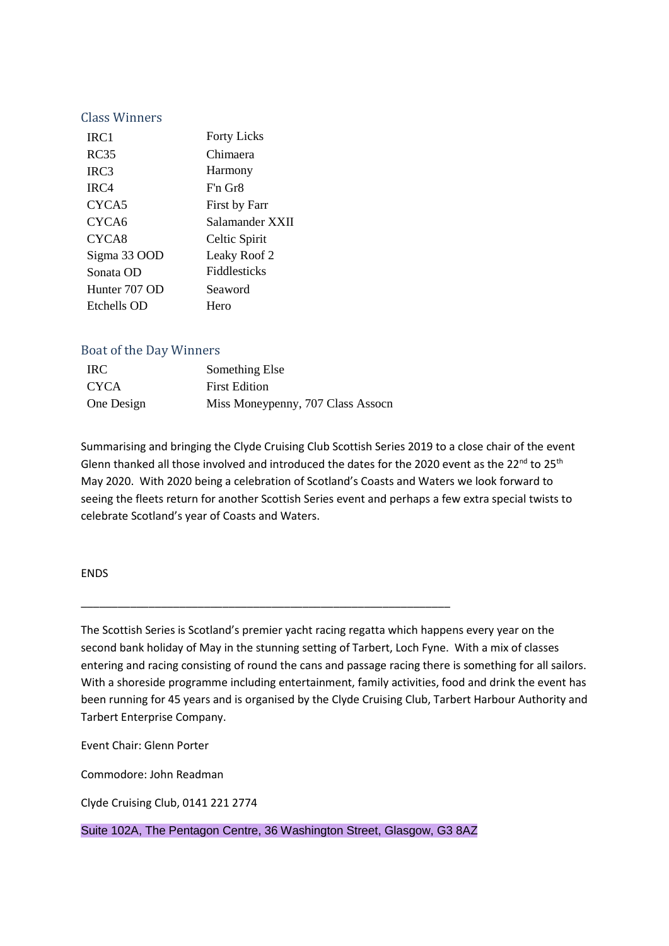#### Class Winners

| IRC <sub>1</sub> | <b>Forty Licks</b>    |
|------------------|-----------------------|
| RC35             | Chimaera              |
| IRC <sub>3</sub> | Harmony               |
| IRC4             | $Fin$ Gr <sub>8</sub> |
| CYCA5            | First by Farr         |
| CYCA6            | Salamander XXII       |
| CYCA8            | Celtic Spirit         |
| Sigma 33 OOD     | Leaky Roof 2          |
| Sonata OD        | <b>Fiddlesticks</b>   |
| Hunter 707 OD    | Seaword               |
| Etchells OD      | Hero                  |

#### Boat of the Day Winners

| <b>IRC</b>  | Something Else                    |
|-------------|-----------------------------------|
| <b>CYCA</b> | <b>First Edition</b>              |
| One Design  | Miss Moneypenny, 707 Class Assocn |

Summarising and bringing the Clyde Cruising Club Scottish Series 2019 to a close chair of the event Glenn thanked all those involved and introduced the dates for the 2020 event as the 22<sup>nd</sup> to 25<sup>th</sup> May 2020. With 2020 being a celebration of Scotland's Coasts and Waters we look forward to seeing the fleets return for another Scottish Series event and perhaps a few extra special twists to celebrate Scotland's year of Coasts and Waters.

#### ENDS

The Scottish Series is Scotland's premier yacht racing regatta which happens every year on the second bank holiday of May in the stunning setting of Tarbert, Loch Fyne. With a mix of classes entering and racing consisting of round the cans and passage racing there is something for all sailors. With a shoreside programme including entertainment, family activities, food and drink the event has been running for 45 years and is organised by the Clyde Cruising Club, Tarbert Harbour Authority and Tarbert Enterprise Company.

Event Chair: Glenn Porter

Commodore: John Readman

Clyde Cruising Club, 0141 221 2774

#### Suite 102A, The Pentagon Centre, 36 Washington Street, Glasgow, G3 8AZ

\_\_\_\_\_\_\_\_\_\_\_\_\_\_\_\_\_\_\_\_\_\_\_\_\_\_\_\_\_\_\_\_\_\_\_\_\_\_\_\_\_\_\_\_\_\_\_\_\_\_\_\_\_\_\_\_\_\_\_\_